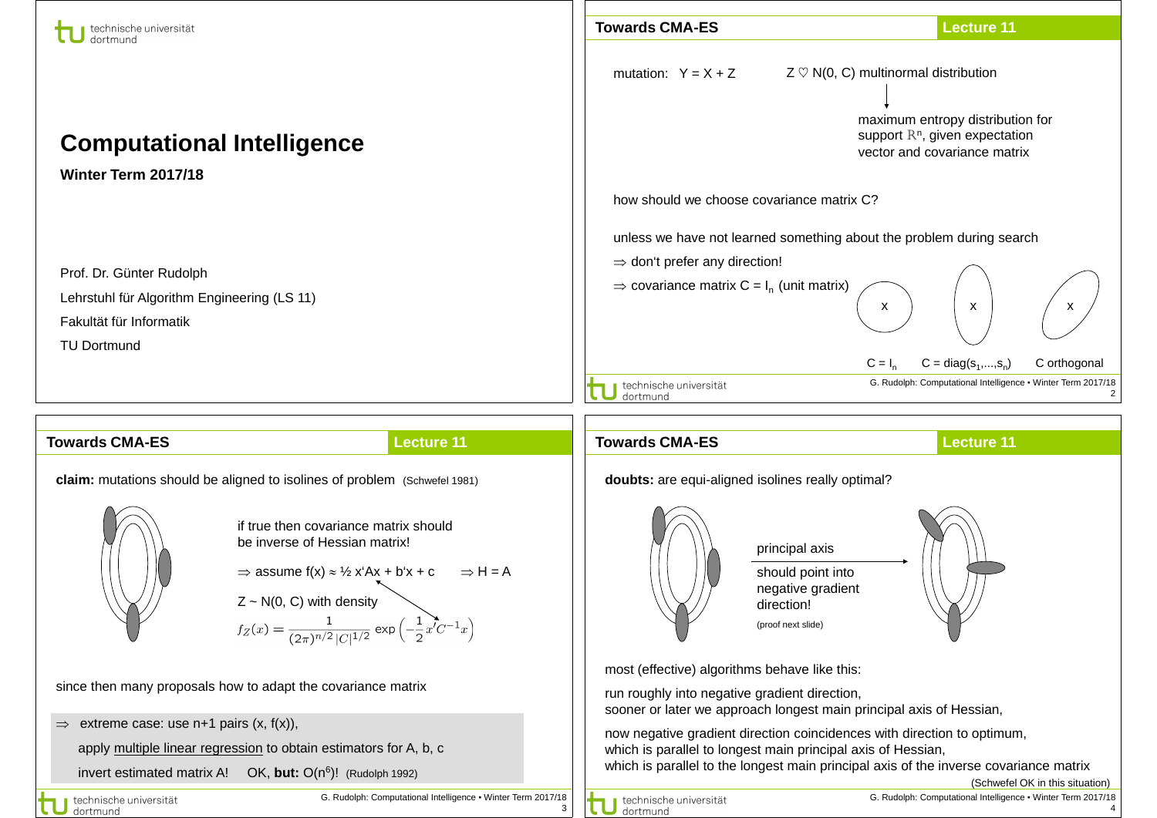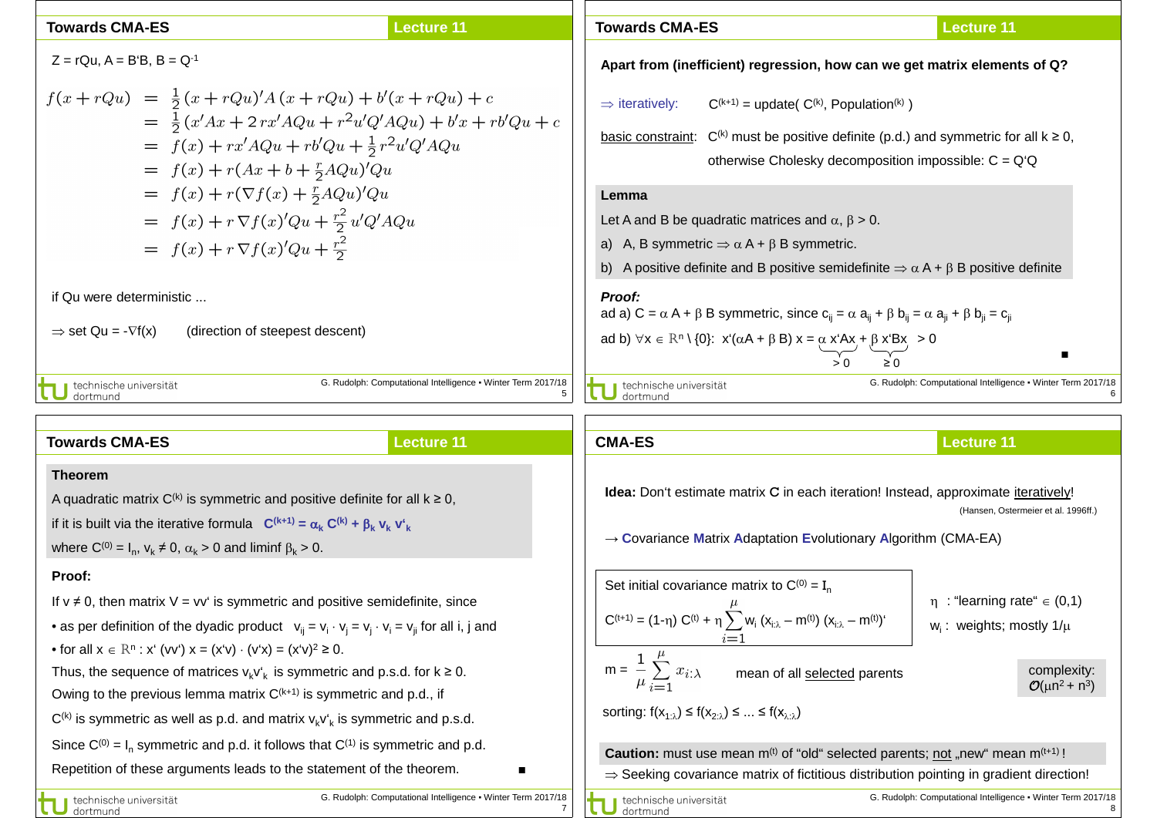| <b>Towards CMA-ES</b>                                                                                                                                                                                                                                                                                                                                                              | <b>Lecture 11</b>                                            | <b>Towards CMA-ES</b>                                                                                                                                                                                                                                                                                                                                                                              | <b>Lecture 11</b>                                            |  |
|------------------------------------------------------------------------------------------------------------------------------------------------------------------------------------------------------------------------------------------------------------------------------------------------------------------------------------------------------------------------------------|--------------------------------------------------------------|----------------------------------------------------------------------------------------------------------------------------------------------------------------------------------------------------------------------------------------------------------------------------------------------------------------------------------------------------------------------------------------------------|--------------------------------------------------------------|--|
| $Z = rQu$ , $A = B'B$ , $B = Q^{-1}$                                                                                                                                                                                                                                                                                                                                               |                                                              | Apart from (inefficient) regression, how can we get matrix elements of Q?                                                                                                                                                                                                                                                                                                                          |                                                              |  |
| $f(x+rQu) = \frac{1}{2}(x+rQu)'A(x+rQu) + b'(x+rQu) + c$<br>$= \frac{1}{2}(x'Ax + 2rx'AQu + r^2u'Q'AQu) + b'x + rb'Qu + c$<br>$= f(x) + rx' AQu + rb'Qu + \frac{1}{2}r^2u'Q'AQu$<br>$= f(x) + r(Ax + b + \frac{r}{2}AQu)'Qu$<br>$= f(x) + r(\nabla f(x) + \frac{r}{2}AQu)'Qu$<br>$= f(x) + r \nabla f(x)'Qu + \frac{r^2}{2}u'Q'AQu$<br>$= f(x) + r \nabla f(x)'Qu + \frac{r^2}{2}$ |                                                              | $\Rightarrow$ iteratively:<br>$C^{(k+1)}$ = update( $C^{(k)}$ , Population <sup>(k)</sup> )<br>basic constraint: $C^{(k)}$ must be positive definite (p.d.) and symmetric for all $k \ge 0$ ,<br>otherwise Cholesky decomposition impossible: $C = Q'Q$<br>Lemma<br>Let A and B be quadratic matrices and $\alpha$ , $\beta$ > 0.<br>a) A, B symmetric $\Rightarrow \alpha A + \beta B$ symmetric. |                                                              |  |
|                                                                                                                                                                                                                                                                                                                                                                                    |                                                              | A positive definite and B positive semidefinite $\Rightarrow \alpha A + \beta B$ positive definite<br>b)                                                                                                                                                                                                                                                                                           |                                                              |  |
| if Qu were deterministic<br>$\Rightarrow$ set Qu = - $\nabla f(x)$<br>(direction of steepest descent)                                                                                                                                                                                                                                                                              |                                                              | Proof:<br>ad a) C = $\alpha$ A + $\beta$ B symmetric, since c <sub>ii</sub> = $\alpha$ a <sub>ii</sub> + $\beta$ b <sub>ii</sub> = $\alpha$ a <sub>ii</sub> + $\beta$ b <sub>ii</sub> = c <sub>ii</sub><br>ad b) $\forall x \in \mathbb{R}^n \setminus \{0\}: x(\alpha A + \beta B) x = \alpha x^4 Ax + \beta x^4 Bx > 0$                                                                          |                                                              |  |
| technische universität<br>dortmund                                                                                                                                                                                                                                                                                                                                                 | G. Rudolph: Computational Intelligence . Winter Term 2017/18 | technische universität<br>dortmund                                                                                                                                                                                                                                                                                                                                                                 | G. Rudolph: Computational Intelligence • Winter Term 2017/18 |  |

| <b>Towards CMA-ES</b>                                                                                                                                                                                                                                                                                  | <b>Lecture 11</b>                                            | <b>CMA-ES</b>                                                                                                                                                                                                         | <b>Lecture 11</b>                                                                                                                                                  |  |
|--------------------------------------------------------------------------------------------------------------------------------------------------------------------------------------------------------------------------------------------------------------------------------------------------------|--------------------------------------------------------------|-----------------------------------------------------------------------------------------------------------------------------------------------------------------------------------------------------------------------|--------------------------------------------------------------------------------------------------------------------------------------------------------------------|--|
| <b>Theorem</b><br>A quadratic matrix $C^{(k)}$ is symmetric and positive definite for all $k \ge 0$ ,<br>if it is built via the iterative formula $C^{(k+1)} = \alpha_k C^{(k)} + \beta_k v_k v'_k$<br>where $C^{(0)} = I_n$ , $v_k \neq 0$ , $\alpha_k > 0$ and liminf $\beta_k > 0$ .                |                                                              | <b>Idea:</b> Don't estimate matrix C in each iteration! Instead, approximate <i>iteratively!</i><br>(Hansen, Ostermeier et al. 1996ff.)<br>$\rightarrow$ Covariance Matrix Adaptation Evolutionary Algorithm (CMA-EA) |                                                                                                                                                                    |  |
| Proof:<br>If $v \neq 0$ , then matrix $V = vv'$ is symmetric and positive semidefinite, since<br>• as per definition of the dyadic product $v_{ii} = v_i \cdot v_i = v_i \cdot v_i = v_{ii}$ for all i, j and<br>• for all $x \in \mathbb{R}^n : x^k(vv^k) = (x^k v) \cdot (v^k x) = (x^k v)^2 \ge 0.$ |                                                              | Set initial covariance matrix to $C^{(0)} = I_n$<br>$C^{(t+1)} = (1-\eta) C^{(t)} + \eta \sum_{i=1}^{n} w_i (x_{i:\lambda} - m^{(t)}) (x_{i:\lambda} - m^{(t)})$                                                      | $\eta$ : "learning rate" $\in$ (0,1)<br>$w_i$ : weights; mostly $1/\mu$                                                                                            |  |
| Thus, the sequence of matrices $v_k v'_k$ is symmetric and p.s.d. for $k \ge 0$ .<br>Owing to the previous lemma matrix $C^{(k+1)}$ is symmetric and p.d., if<br>$C^{(k)}$ is symmetric as well as p.d. and matrix $v_k v'_k$ is symmetric and p.s.d.                                                  |                                                              | $m = \frac{1}{\mu} \sum_{i=1}^{r} x_{i:\lambda}$<br>mean of all selected parents<br>sorting: $f(x_{1:\lambda}) \leq f(x_{2:\lambda}) \leq  \leq f(x_{\lambda:\lambda})$                                               | complexity:<br>$O(\mu n^2 + n^3)$                                                                                                                                  |  |
| Since $C^{(0)} = I_n$ symmetric and p.d. it follows that $C^{(1)}$ is symmetric and p.d.<br>Repetition of these arguments leads to the statement of the theorem.                                                                                                                                       | G. Rudolph: Computational Intelligence . Winter Term 2017/18 | <b>Caution:</b> must use mean $m^{(t)}$ of "old" selected parents; not "new" mean $m^{(t+1)}$ !                                                                                                                       | $\Rightarrow$ Seeking covariance matrix of fictitious distribution pointing in gradient direction!<br>G. Rudolph: Computational Intelligence . Winter Term 2017/18 |  |
| technische universität<br>dortmund                                                                                                                                                                                                                                                                     |                                                              | technische universität<br>dortmund                                                                                                                                                                                    |                                                                                                                                                                    |  |